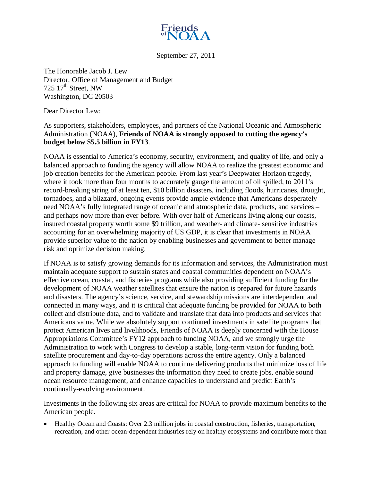

September 27, 2011

The Honorable Jacob J. Lew Director, Office of Management and Budget 725  $17<sup>th</sup>$  Street, NW Washington, DC 20503

Dear Director Lew:

As supporters, stakeholders, employees, and partners of the National Oceanic and Atmospheric Administration (NOAA), **Friends of NOAA is strongly opposed to cutting the agency's budget below \$5.5 billion in FY13**.

NOAA is essential to America's economy, security, environment, and quality of life, and only a balanced approach to funding the agency will allow NOAA to realize the greatest economic and job creation benefits for the American people. From last year's Deepwater Horizon tragedy, where it took more than four months to accurately gauge the amount of oil spilled, to 2011's record-breaking string of at least ten, \$10 billion disasters, including floods, hurricanes, drought, tornadoes, and a blizzard, ongoing events provide ample evidence that Americans desperately need NOAA's fully integrated range of oceanic and atmospheric data, products, and services – and perhaps now more than ever before. With over half of Americans living along our coasts, insured coastal property worth some \$9 trillion, and weather- and climate- sensitive industries accounting for an overwhelming majority of US GDP, it is clear that investments in NOAA provide superior value to the nation by enabling businesses and government to better manage risk and optimize decision making.

If NOAA is to satisfy growing demands for its information and services, the Administration must maintain adequate support to sustain states and coastal communities dependent on NOAA's effective ocean, coastal, and fisheries programs while also providing sufficient funding for the development of NOAA weather satellites that ensure the nation is prepared for future hazards and disasters. The agency's science, service, and stewardship missions are interdependent and connected in many ways, and it is critical that adequate funding be provided for NOAA to both collect and distribute data, and to validate and translate that data into products and services that Americans value. While we absolutely support continued investments in satellite programs that protect American lives and livelihoods, Friends of NOAA is deeply concerned with the House Appropriations Committee's FY12 approach to funding NOAA, and we strongly urge the Administration to work with Congress to develop a stable, long-term vision for funding both satellite procurement and day-to-day operations across the entire agency. Only a balanced approach to funding will enable NOAA to continue delivering products that minimize loss of life and property damage, give businesses the information they need to create jobs, enable sound ocean resource management, and enhance capacities to understand and predict Earth's continually-evolving environment.

Investments in the following six areas are critical for NOAA to provide maximum benefits to the American people.

• Healthy Ocean and Coasts: Over 2.3 million jobs in coastal construction, fisheries, transportation, recreation, and other ocean-dependent industries rely on healthy ecosystems and contribute more than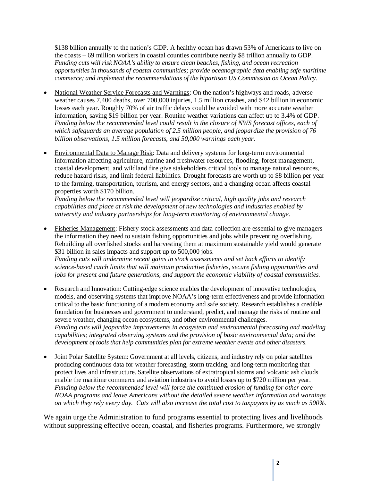\$138 billion annually to the nation's GDP. A healthy ocean has drawn 53% of Americans to live on the coasts – 69 million workers in coastal counties contribute nearly \$8 trillion annually to GDP. *Funding cuts will risk NOAA's ability to ensure clean beaches, fishing, and ocean recreation opportunities in thousands of coastal communities; provide oceanographic data enabling safe maritime commerce; and implement the recommendations of the bipartisan US Commission on Ocean Policy.*

- National Weather Service Forecasts and Warnings: On the nation's highways and roads, adverse weather causes 7,400 deaths, over 700,000 injuries, 1.5 million crashes, and \$42 billion in economic losses each year. Roughly 70% of air traffic delays could be avoided with more accurate weather information, saving \$19 billion per year. Routine weather variations can affect up to 3.4% of GDP. Funding below the recommended level could result in the closure of NWS forecast offices, each of *which safeguards an average population of 2.5 million people, and jeopardize the provision of 76 billion observations, 1.5 million forecasts, and 50,000 warnings each year.*
- Environmental Data to Manage Risk: Data and delivery systems for long-term environmental information affecting agriculture, marine and freshwater resources, flooding, forest management, coastal development, and wildland fire give stakeholders critical tools to manage natural resources, reduce hazard risks, and limit federal liabilities. Drought forecasts are worth up to \$8 billion per year to the farming, transportation, tourism, and energy sectors, and a changing ocean affects coastal properties worth \$170 billion.

*Funding below the recommended level will jeopardize critical, high quality jobs and research capabilities and place at risk the development of new technologies and industries enabled by university and industry partnerships for long-term monitoring of environmental change.*

• Fisheries Management: Fishery stock assessments and data collection are essential to give managers the information they need to sustain fishing opportunities and jobs while preventing overfishing. Rebuilding all overfished stocks and harvesting them at maximum sustainable yield would generate \$31 billion in sales impacts and support up to 500,000 jobs.

*Funding cuts will undermine recent gains in stock assessments and set back efforts to identify science-based catch limits that will maintain productive fisheries, secure fishing opportunities and jobs for present and future generations, and support the economic viability of coastal communities.*

- Research and Innovation: Cutting-edge science enables the development of innovative technologies, models, and observing systems that improve NOAA's long-term effectiveness and provide information critical to the basic functioning of a modern economy and safe society. Research establishes a credible foundation for businesses and government to understand, predict, and manage the risks of routine and severe weather, changing ocean ecosystems, and other environmental challenges. *Funding cuts will jeopardize improvements in ecosystem and environmental forecasting and modeling capabilities; integrated observing systems and the provision of basic environmental data; and the development of tools that help communities plan for extreme weather events and other disasters.*
- Joint Polar Satellite System: Government at all levels, citizens, and industry rely on polar satellites producing continuous data for weather forecasting, storm tracking, and long-term monitoring that protect lives and infrastructure. Satellite observations of extratropical storms and volcanic ash clouds enable the maritime commerce and aviation industries to avoid losses up to \$720 million per year. *Funding below the recommended level will force the continued erosion of funding for other core NOAA programs and leave Americans without the detailed severe weather information and warnings on which they rely every day. Cuts will also increase the total cost to taxpayers by as much as 500%.*

We again urge the Administration to fund programs essential to protecting lives and livelihoods without suppressing effective ocean, coastal, and fisheries programs. Furthermore, we strongly